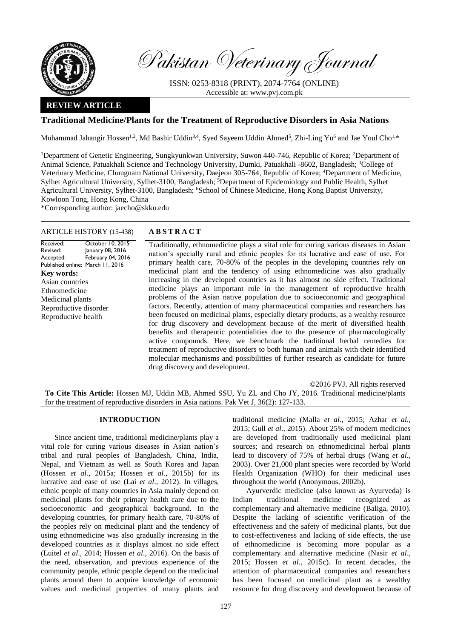

Pakistan Veterinary Journal

ISSN: 0253-8318 (PRINT), 2074-7764 (ONLINE) Accessible at: [www.pvj.com.pk](http://www.pvj.com.pk/)

## **REVIEW ARTICLE**

# **Traditional Medicine/Plants for the Treatment of Reproductive Disorders in Asia Nations**

Muhammad Jahangir Hossen<sup>1,2</sup>, Md Bashir Uddin<sup>3,4</sup>, Syed Sayeem Uddin Ahmed<sup>5</sup>, Zhi-Ling Yu<sup>6</sup> and Jae Youl Cho<sup>1,\*</sup>

<sup>1</sup>Department of Genetic Engineering, Sungkyunkwan University, Suwon 440-746, Republic of Korea; <sup>2</sup>Department of Animal Science, Patuakhali Science and Technology University, Dumki, Patuakhali -8602, Bangladesh; <sup>3</sup>College of Veterinary Medicine, Chungnam National University, Daejeon 305-764, Republic of Korea; <sup>4</sup>Department of Medicine, Sylhet Agricultural University, Sylhet-3100, Bangladesh; <sup>5</sup>Department of Epidemiology and Public Health, Sylhet Agricultural University, Sylhet-3100, Bangladesh; <sup>6</sup>School of Chinese Medicine, Hong Kong Baptist University, Kowloon Tong, Hong Kong, China

\*Corresponding author: jaecho@skku.edu

## ARTICLE HISTORY (15-438) **A B S T R A C T**

Received: Revised: Accepted: Published online: March 11, 2016 October 10, 2015 January 08, 2016 February 04, 2016 **Key words:**  Asian countries Ethnomedicine Medicinal plants Reproductive disorder Reproductive health

Traditionally, ethnomedicine plays a vital role for curing various diseases in Asian nation's specially rural and ethnic peoples for its lucrative and ease of use. For primary health care, 70-80% of the peoples in the developing countries rely on medicinal plant and the tendency of using ethnomedicine was also gradually increasing in the developed countries as it has almost no side effect. Traditional medicine plays an important role in the management of reproductive health problems of the Asian native population due to socioeconomic and geographical factors. Recently, attention of many pharmaceutical companies and researchers has been focused on medicinal plants, especially dietary products, as a wealthy resource for drug discovery and development because of the merit of diversified health benefits and therapeutic potentialities due to the presence of pharmacologically active compounds. Here, we benchmark the traditional herbal remedies for treatment of reproductive disorders to both human and animals with their identified molecular mechanisms and possibilities of further research as candidate for future drug discovery and development.

©2016 PVJ. All rights reserved

**To Cite This Article:** Hossen MJ, Uddin MB, Ahmed SSU, Yu ZL and Cho JY, 2016. Traditional medicine/plants for the treatment of reproductive disorders in Asia nations. Pak Vet J, 36(2): 127-133.

### **INTRODUCTION**

Since ancient time, traditional medicine/plants play a vital role for curing various diseases in Asian nation's tribal and rural peoples of Bangladesh, China, India, Nepal, and Vietnam as well as South Korea and Japan (Hossen *et al.*[, 2015a;](#page-5-0) Hossen *et al.*[, 2015b\)](#page-5-1) for its lucrative and ease of use (Lai *et al*[., 2012\)](#page-5-2). In villages, ethnic people of many countries in Asia mainly depend on medicinal plants for their primary health care due to the socioeconomic and geographical background. In the developing countries, for primary health care, 70-80% of the peoples rely on medicinal plant and the tendency of using ethnomedicine was also gradually increasing in the developed countries as it displays almost no side effect (Luitel *et al*[., 2014;](#page-6-0) [Hossen](#page-5-3) *et al*., 2016). On the basis of the need, observation, and previous experience of the community people, ethnic people depend on the medicinal plants around them to acquire knowledge of economic values and medicinal properties of many plants and traditional medicine [\(Malla](#page-6-1) *et al*., 2015; Azhar *et al.*, 2015; Gull *et al*., 2015). About 25% of modern medicines are developed from traditionally used medicinal plant sources; and research on ethnomedicinal herbal plants lead to discovery of 75% of herbal drugs [\(Wang](#page-6-2) *et al.*, [2003\)](#page-6-2). Over 21,000 plant species were recorded by World Health Organization (WHO) for their medicinal uses throughout the world (Anonymous, 2002b).

Ayurverdic medicine (also known as Ayurveda) is Indian traditional medicine recognized as complementary and alternative medicine [\(Baliga, 2010\)](#page-5-4). Despite the lacking of scientific verification of the effectiveness and the safety of medicinal plants, but due to cost-effectiveness and lacking of side effects, the use of ethnomedicine is becoming more popular as a complementary and alternative medicine (Nasir *et al*., 2015; [Hossen](#page-5-5) *et al.*, 2015c). In recent decades, the attention of pharmaceutical companies and researchers has been focused on medicinal plant as a wealthy resource for drug discovery and development because of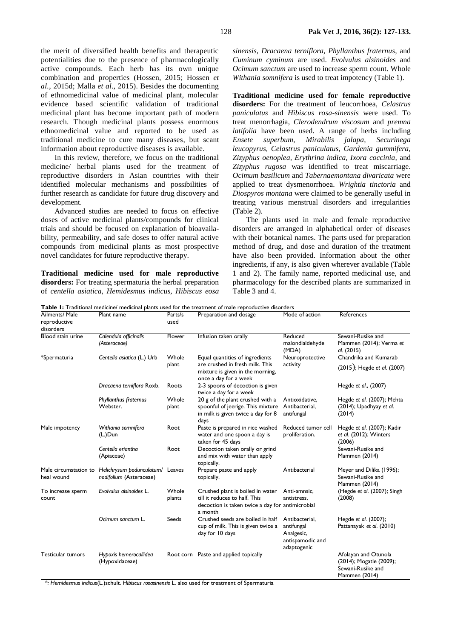the merit of diversified health benefits and therapeutic potentialities due to the presence of pharmacologically active compounds. Each herb has its own unique combination and properties [\(Hossen, 2015;](#page-5-6) [Hossen](#page-5-7) *et al.*[, 2015d](#page-5-7); Malla *et al*[., 2015\)](#page-6-1). Besides the documenting of ethnomedicinal value of medicinal plant, molecular evidence based scientific validation of traditional medicinal plant has become important path of modern research. Though medicinal plants possess enormous ethnomedicinal value and reported to be used as traditional medicine to cure many diseases, but scant information about reproductive diseases is available.

In this review, therefore, we focus on the traditional medicine/ herbal plants used for the treatment of reproductive disorders in Asian countries with their identified molecular mechanisms and possibilities of further research as candidate for future drug discovery and development.

Advanced studies are needed to focus on effective doses of active medicinal plants/compounds for clinical trials and should be focused on explanation of bioavailability, permeability, and safe doses to offer natural active compounds from medicinal plants as most prospective novel candidates for future reproductive therapy.

**Traditional medicine used for male reproductive disorders:** For treating spermaturia the herbal preparation of *centella asiatica, Hemidesmus indicus, Hibiscus eosa*  *sinensis*, *Dracaena terniflora, Phyllanthus fraternus,* and *Cuminum cyminum* are used. *Evolvulus alsinoides* and *Ocimum sanctum* are used to increase sperm count. Whole *Withania somnifera* is used to treat impotency (Table 1).

**Traditional medicine used for female reproductive disorders:** For the treatment of leucorrhoea, *Celastrus paniculatus* and *Hibiscus rosa-sinensis* were used. To treat menorrhagia, *Clerodendrum viscosum* and *premna latifolia* have been used. A range of herbs including *Ensete superbum, Mirabilis jalapa, Securinega leucopyrus, Celastrus paniculatus, Gardenia gummifera, Zizyphus oenoplea, Erythrina indica, Ixora coccinia,* and *Zizyphus rugosa* was identified to treat miscarriage. *Ocimum basilicum* and *Tabernaemontana divaricata* were applied to treat dysmenorrhoea. *Wrightia tinctoria* and *Diospyros montana* were claimed to be generally useful in treating various menstrual disorders and irregularities (Table 2).

The plants used in male and female reproductive disorders are arranged in alphabetical order of diseases with their botanical names. The parts used for preparation method of drug, and dose and duration of the treatment have also been provided. Information about the other ingredients, if any, is also given wherever available (Table 1 and 2). The family name, reported medicinal use, and pharmacology for the described plants are summarized in Table 3 and 4.

**Table 1:** Traditional medicine/ medicinal plants used for the treatment of male reproductive disorders

| Ailments/ Male<br>reproductive<br>disorders | Plant name                                                                        | Parts/s<br>used | Preparation and dosage                                                                                                           | Mode of action                                                                | References                                                                            |
|---------------------------------------------|-----------------------------------------------------------------------------------|-----------------|----------------------------------------------------------------------------------------------------------------------------------|-------------------------------------------------------------------------------|---------------------------------------------------------------------------------------|
| Blood stain urine                           | Calendula officinalis<br>(Asteraceae)                                             | Flower          | Infusion taken orally                                                                                                            | Reduced<br>malondialdehyde<br>(MDA)                                           | Sewani-Rusike and<br>Mammen (2014); Verma et<br>al. (2015)                            |
| *Spermaturia                                | Centella asiatica (L.) Urb                                                        | Whole<br>plant  | Equal quantities of ingredients<br>are crushed in fresh milk. This<br>mixture is given in the morning,<br>once a day for a week  | Neuroprotective<br>activity                                                   | Chandrika and Kumarab<br>(2015); Hegde et al. (2007)                                  |
|                                             | Dracaena terniflora Roxb.                                                         | Roots           | 2-3 spoons of decoction is given<br>twice a day for a week                                                                       |                                                                               | Hegde et al., (2007)                                                                  |
|                                             | <b>Phyllanthus fraternus</b><br>Webster.                                          | Whole<br>plant  | 20 g of the plant crushed with a<br>spoonful of jeerige. This mixture<br>in milk is given twice a day for 8<br>days              | Antioxidative,<br>Antibacterial,<br>antifungal                                | Hegde et al. (2007); Mehta<br>(2014); Upadhyay et al.<br>(2014)                       |
| Male impotency                              | Withania somnifera<br>$(L)$ Dun                                                   | Root            | Paste is prepared in rice washed<br>water and one spoon a day is<br>taken for 45 days                                            | Reduced tumor cell<br>proliferation.                                          | Hegde et al. (2007); Kadir<br>et al. (2012); Winters<br>(2006)                        |
|                                             | Centella eriantha<br>(Apiaceae)                                                   | Root            | Decoction taken orally or grind<br>and mix with water than apply<br>topically.                                                   |                                                                               | Sewani-Rusike and<br>Mammen (2014)                                                    |
| heal wound                                  | Male circumstation to Helichrysum pedunculatum/ Leaves<br>nodifolium (Asteraceae) |                 | Prepare paste and apply<br>topically.                                                                                            | Antibacterial                                                                 | Meyer and Dilika (1996);<br>Sewani-Rusike and<br>Mammen (2014)                        |
| To increase sperm<br>count                  | Evolvulus alsinoides L.                                                           | Whole<br>plants | Crushed plant is boiled in water<br>till it reduces to half. This<br>decoction is taken twice a day for antimicrobial<br>a month | Anti-amnsic,<br>antistress.                                                   | (Hegde et al. (2007); Singh<br>(2008)                                                 |
|                                             | Ocimum sanctum L.                                                                 | Seeds           | Crushed seeds are boiled in half<br>cup of milk. This is given twice a<br>day for 10 days                                        | Antibacterial,<br>antifungal<br>Analgesic,<br>antispamodic and<br>adaptogenic | Hegde et al. (2007);<br>Pattanayak et al. (2010)                                      |
| Testicular tumors                           | Hypoxis hemerocallidea<br>(Hypoxidaceae)                                          |                 | Root corn Paste and applied topically                                                                                            |                                                                               | Afolayan and Otunola<br>(2014); Mogatle (2009);<br>Sewani-Rusike and<br>Mammen (2014) |

\**: Hemidesmus indicus*(L.)schult. *Hibiscus rosasinensis* L. also used for treatment of Spermaturia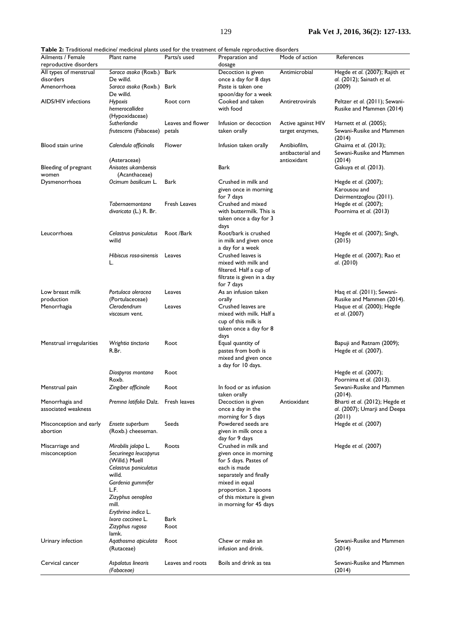| Ailments / Female                      | Plant name                                   |                   | <b>I able 2:</b> I raditional medicine/ medicinal plants used for the treatment of female reproductive disorders |                                                  | References                                                     |
|----------------------------------------|----------------------------------------------|-------------------|------------------------------------------------------------------------------------------------------------------|--------------------------------------------------|----------------------------------------------------------------|
| reproductive disorders                 |                                              | Parts/s used      | Preparation and<br>dosage                                                                                        | Mode of action                                   |                                                                |
| All types of menstrual                 | Saraca asoka (Roxb.)                         | <b>Bark</b>       | Decoction is given                                                                                               | Antimicrobial                                    | Hegde et al. (2007); Rajith et                                 |
| disorders                              | De willd.                                    |                   | once a day for 8 days                                                                                            |                                                  | al. (2012); Sainath et al.                                     |
| Amenorrhoea                            | Saraca asoka (Roxb.) Bark<br>De willd.       |                   | Paste is taken one<br>spoon/day for a week                                                                       |                                                  | (2009)                                                         |
| <b>AIDS/HIV</b> infections             | Hypoxis<br>hemerocallidea                    | Root corn         | Cooked and taken<br>with food                                                                                    | Antiretrovirals                                  | Peltzer et al. (2011); Sewani-<br>Rusike and Mammen (2014)     |
|                                        | (Hypoxidaceae)                               |                   |                                                                                                                  |                                                  |                                                                |
|                                        | Sutherlandia                                 | Leaves and flower | Infusion or decoction                                                                                            | Active against HIV                               | Harnett et al. (2005);                                         |
|                                        | frutescens (Fabaceae)                        | petals            | taken orally                                                                                                     | target enzymes,                                  | Sewani-Rusike and Mammen<br>(2014)                             |
| Blood stain urine                      | Calendula officinalis<br>(Asteraceae)        | Flower            | Infusion taken orally                                                                                            | Antibiofilm,<br>antibacterial and<br>antioxidant | Ghaima et al. (2013);<br>Sewani-Rusike and Mammen<br>(2014)    |
| Bleeding of pregnant<br>women          | Anisotes ukambensis<br>(Acanthaceae)         |                   | Bark                                                                                                             |                                                  | Gakuya et al. (2013).                                          |
| Dysmenorrhoea                          | Ocimum basilicum L.                          | Bark              | Crushed in milk and                                                                                              |                                                  | Hegde et al. (2007);                                           |
|                                        |                                              |                   | given once in morning<br>for 7 days                                                                              |                                                  | Karousou and<br>Deirmentzoglou (2011).                         |
|                                        | Tabernaemontana                              | Fresh Leaves      | Crushed and mixed                                                                                                |                                                  | Hegde et al. (2007);                                           |
|                                        | divaricata (L.) R. Br.                       |                   | with buttermilk. This is<br>taken once a day for 3                                                               |                                                  | Poornima et al. (2013)                                         |
|                                        |                                              |                   | days                                                                                                             |                                                  |                                                                |
| Leucorrhoea                            | Celastrus paniculatus                        | Root /Bark        | Root/bark is crushed                                                                                             |                                                  | Hegde et al. (2007); Singh,                                    |
|                                        | willd                                        |                   | in milk and given once<br>a day for a week                                                                       |                                                  | (2015)                                                         |
|                                        | Hibiscus rosa-sinensis                       | Leaves            | Crushed leaves is                                                                                                |                                                  | Hegde et al. (2007); Rao et                                    |
|                                        | L.                                           |                   | mixed with milk and                                                                                              |                                                  | al. (2010)                                                     |
|                                        |                                              |                   | filtered. Half a cup of<br>filtrate is given in a day                                                            |                                                  |                                                                |
| Low breast milk                        | Portulaca oleracea                           | Leaves            | for 7 days<br>As an infusion taken                                                                               |                                                  | Haq et al. (2011); Sewani-                                     |
| production                             | (Portulaceceae)<br>Clerodendrum              |                   | orally<br>Crushed leaves are                                                                                     |                                                  | Rusike and Mammen (2014).                                      |
| Menorrhagia                            | viscosum vent.                               | Leaves            | mixed with milk. Half a<br>cup of this milk is<br>taken once a day for 8                                         |                                                  | Haque et al. (2000); Hegde<br>et al. (2007)                    |
| Menstrual irregularities               | Wrightia tinctoria                           | Root              | days<br>Equal quantity of                                                                                        |                                                  | Bapuji and Ratnam (2009);                                      |
|                                        | R.Br.                                        |                   | pastes from both is<br>mixed and given once<br>a day for 10 days.                                                |                                                  | Hegde et al. (2007).                                           |
|                                        | Diospyros montana<br>Roxb.                   | Root              |                                                                                                                  |                                                  | Hegde et al. (2007);<br>Poornima et al. (2013).                |
| Menstrual pain                         | Zingiber officinale                          | Root              | In food or as infusion                                                                                           |                                                  | Sewani-Rusike and Mammen                                       |
|                                        |                                              |                   | taken orally                                                                                                     |                                                  | (2014).                                                        |
| Menorrhagia and<br>associated weakness | Premna latifolia Dalz. Fresh leaves          |                   | Decoction is given<br>once a day in the                                                                          | Antioxidant                                      | Bharti et al. (2012); Hegde et<br>al. (2007); Umarji and Deepa |
| Misconception and early                | Ensete superbum                              | Seeds             | morning for 5 days<br>Powdered seeds are                                                                         |                                                  | (2011)<br>Hegde et al. (2007)                                  |
| abortion                               | (Roxb.) cheeseman.                           |                   | given in milk once a                                                                                             |                                                  |                                                                |
|                                        |                                              |                   | day for 9 days                                                                                                   |                                                  |                                                                |
| Miscarriage and                        | Mirabilis jalapa L.<br>Securinega leucopyrus | Roots             | Crushed in milk and                                                                                              |                                                  | Hegde et al. (2007)                                            |
| misconception                          | (Willd.) Muell                               |                   | given once in morning<br>for 5 days. Pastes of                                                                   |                                                  |                                                                |
|                                        | Celastrus paniculatus                        |                   | each is made                                                                                                     |                                                  |                                                                |
|                                        | willd.                                       |                   | separately and finally                                                                                           |                                                  |                                                                |
|                                        | Gardenia gummifer                            |                   | mixed in equal                                                                                                   |                                                  |                                                                |
|                                        | L.F.                                         |                   | proportion. 2 spoons                                                                                             |                                                  |                                                                |
|                                        | Zizyphus oenoplea                            |                   | of this mixture is given                                                                                         |                                                  |                                                                |
|                                        | mill.<br>Erythrina indica L.                 |                   | in morning for 45 days                                                                                           |                                                  |                                                                |
|                                        | Ixora coccinea L.                            | Bark              |                                                                                                                  |                                                  |                                                                |
|                                        | Zizyphus rugosa                              | Root              |                                                                                                                  |                                                  |                                                                |
| Urinary infection                      | lamk.<br>Agathosma apiculata                 | Root              | Chew or make an                                                                                                  |                                                  | Sewani-Rusike and Mammen                                       |
|                                        | (Rutaceae)                                   |                   | infusion and drink.                                                                                              |                                                  | (2014)                                                         |
| Cervical cancer                        | Aspalatus linearis<br>(Fabaceae)             | Leaves and roots  | Boils and drink as tea                                                                                           |                                                  | Sewani-Rusike and Mammen<br>(2014)                             |
|                                        |                                              |                   |                                                                                                                  |                                                  |                                                                |

**Table 2:** Traditional medicine/ medicinal plants used for the treatment of female reproductive disorders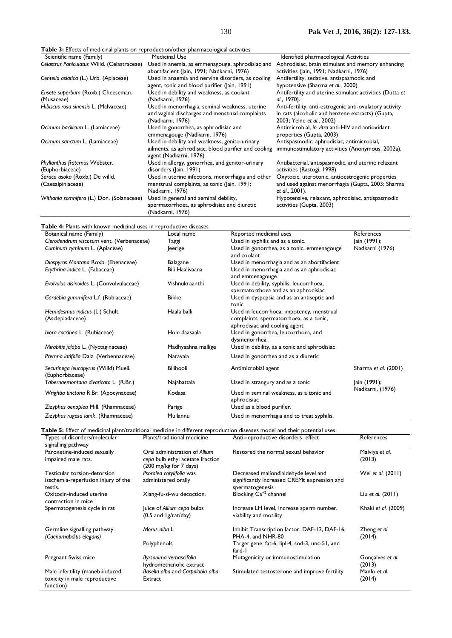**Table 3:** Effects of medicinal plants on reproduction/other pharmacological activities

| Scientific name (Family)                    | <b>I able 5:</b> Effects of medicinal plants on reproduction/other pharmacological activities<br><b>Medicinal Use</b> | Identified pharmacological Activities                                         |
|---------------------------------------------|-----------------------------------------------------------------------------------------------------------------------|-------------------------------------------------------------------------------|
|                                             |                                                                                                                       |                                                                               |
| Celastrus Paniculatus Willd. (Celastraceae) | Used in anemia, as emmenagouge, aphrodisiac and                                                                       | Aphrodisiac, brain stimulant and memory enhancing                             |
|                                             | abortifacient (Jain, 1991; Nadkarni, 1976)                                                                            | activities (Jain, 1991; Nadkarni, 1976)                                       |
| Centella asiatica (L.) Urb. (Apiaceae)      | Used in anaemia and nervine disorders, as cooling                                                                     | Antifertility, sedative, antispasmodic and                                    |
|                                             | agent, tonic and blood purifier (lain, 1991)                                                                          | hypotensive (Sharma et al., 2000)                                             |
| Ensete superbum (Roxb.) Cheeseman.          | Used in debility and weakness, as coolant                                                                             | Antifertility and uterine stimulant activities (Dutta et                      |
| (Musaceae)                                  | (Nadkarni, 1976)                                                                                                      | al., 1970).                                                                   |
| Hibiscus rosa sinensis L. (Malvaceae)       | Used in menorrhagia, seminal weakness, uterine                                                                        | Anti-fertility, anti-estrogenic anti-ovulatory activity                       |
|                                             | and vaginal discharges and menstrual complaints                                                                       | in rats (alcoholic and benzene extracts) (Gupta,                              |
|                                             | (Nadkarni, 1976)                                                                                                      | 2003; Yelne et al., 2002)                                                     |
| Ocimum bacilicum L. (Lamiaceae)             | Used in gonorrhea, as aphrodisiac and                                                                                 | Antimicrobial, in vitro anti-HIV and antioxidant                              |
|                                             | emmenagouge (Nadkarni, 1976)                                                                                          | properties (Gupta, 2003)                                                      |
| Ocimum sanctum L. (Lamiaceae)               | Used in debility and weakness, genito-urinary                                                                         | Antispasmodic, aphrodisiac, antimicrobial,                                    |
|                                             | ailments, as aphrodisiac, blood purifier and cooling<br>agent (Nadkarni, 1976)                                        | immunostimulatory activities (Anonymous, 2002a).                              |
| Phyllanthus fraternus Webster.              | Used in allergy, gonorrhea, and genitor-urinary                                                                       | Antibacterial, antispasmodic, and uterine relaxant                            |
| (Euphorbiaceae)                             | disorders (Jain, 1991)                                                                                                | activities (Rastogi, 1998)                                                    |
| Saraca asoka (Roxb,) De willd.              | Used in uterine infections, menorrhagia and other                                                                     | Oxytocic, uterotonic, antioestrogenic properties                              |
| (Caesalpiniaceae)                           | menstrual complaints, as tonic (Jain, 1991;                                                                           | and used against menorrhagia (Gupta, 2003; Sharma                             |
|                                             | Nadkarni, 1976)                                                                                                       | et al., 2001).                                                                |
| Withania somnifera (L.) Don. (Solanaceae)   | Used in general and seminal debility,<br>spermatorrhoea, as aphrodisiac and diuretic<br>(Nadkarni, 1976)              | Hypotensive, relaxant, aphrodisiac, antispasmodic<br>activities (Gupta, 2003) |

**Table 4:** Plants with known medicinal uses in reproductive diseases

| Botanical name (Family)                                 | Local name         | Reported medicinal uses                                                                                               | References           |
|---------------------------------------------------------|--------------------|-----------------------------------------------------------------------------------------------------------------------|----------------------|
| Clerodendrum viscosum vent. (Verbenaceae)               | Taggi              | Used in syphilis and as a tonic.                                                                                      | Jain (1991);         |
| Cuminum cyminum L. (Apiaceae)                           | Jeerige            | Used in gonorrhea, as a tonic, emmenagouge                                                                            | Nadkarni (1976)      |
|                                                         |                    | and coolant                                                                                                           |                      |
| Diospyros Montana Roxb. (Ebenaceae)                     | Balagane           | Used in menorrhagia and as an abortifacient                                                                           |                      |
| Erythrina indica L. (Fabaceae)                          | Bili Haalivaana    | Used in menorrhagia and as an aphrodisiac<br>and emmenagouge                                                          |                      |
| Evolvulus alsinoides L. (Convolvulaceae)                | Vishnukraanthi     | Used in debility, syphilis, leucorrhoea,<br>spermatorrhoea and as an aphrodisiac                                      |                      |
| Gardebia gummifera L.f. (Rubiaceae)                     | <b>Bikke</b>       | Used in dyspepsia and as an antiseptic and<br>tonic                                                                   |                      |
| Hemidesmus indicus (L.) Schult.<br>(Asclepiadaceae)     | Haala balli        | Used in leucorrhoea, impotency, menstrual<br>complaints, spermatorrhoea, as a tonic,<br>aphrodisiac and cooling agent |                      |
| Ixora coccinea L. (Rubiaceae)                           | Hole daasaala      | Used in gonorrhea, leucorrhoea, and<br>dysmenorrhea                                                                   |                      |
| Mirabitis jalapa L. (Nyctaginaceae)                     | Madhyaahna mallige | Used in debility, as a tonic and aphrodisiac                                                                          |                      |
| Premna latifolia Dalz. (Verbennaceae)                   | Naravala           | Used in gonorrhea and as a diuretic                                                                                   |                      |
| Securinega leucopyrus (Willd) Muell.<br>(Euphorbiaceae) | Bilihooli          | Antimicrobial agent                                                                                                   | Sharma et al. (2001) |
| Tabernaemontana divaricata L. (R.Br.)                   | Najabattala        | Used in strangury and as a tonic                                                                                      | Jain (1991);         |
| Wrightia tinctoria R.Br. (Apocynaceae)<br>Kodasa        |                    | Nadkarni, (1976)<br>Used in seminal weakness, as a tonic and<br>aphrodisiac                                           |                      |
| Zizyphus oenoplea Mill. (Rhamnaceae)                    | Parige             | Used as a blood purifier.                                                                                             |                      |
| Zizyphus rugosa lamk. (Rhamnaceae)                      | Mullannu           | Used in menorrhagia and to treat syphilis.                                                                            |                      |

| Types of disorders/molecular<br>signalling pathway                             | Plants/traditional medicine                                                                 | Anti-reproductive disorders effect                                                                      | References                 |
|--------------------------------------------------------------------------------|---------------------------------------------------------------------------------------------|---------------------------------------------------------------------------------------------------------|----------------------------|
| Paroxetine-induced sexually<br>impaired male rats.                             | Oral administration of Allium<br>cepa bulb ethyl acetate fraction<br>(200 mg/kg for 7 days) | Restored the normal sexual behavior                                                                     | Malviya et al.<br>(2013)   |
| Testicular torsion-detorsion<br>isschemia-reperfusion injury of the<br>testis. | Psoralea corylifolia was<br>administered orally                                             | Decreased maliondialdehyde level and<br>significantly increased CREMt expression and<br>spermatogenesis | Wei et al. (2011)          |
| Oxitocin-induced uterine<br>contraction in mice                                | Xiang-fu-si-wu decoction.                                                                   | Blocking Ca <sup>+2</sup> channel                                                                       | Liu et al. $(2011)$        |
| Spermatogenesis cycle in rat                                                   | Juice of Allium cepa bulbs<br>$(0.5$ and $1g/rat/day)$                                      | Increase LH level, Increase sperm number,<br>viability and motility                                     | Khaki et al. (2009)        |
| Germline signalling pathway<br>(Caenorhabditis elegans)                        | Morus alba L                                                                                | Inhibit Transcription factor: DAF-12, DAF-16,<br>PHA-4, and NHR-80                                      | Zheng et al.<br>(2014)     |
|                                                                                | Polyphenols                                                                                 | Target gene: fat-6, lipl-4, sod-3, unc-51, and<br>fard-1                                                |                            |
| Pregnant Swiss mice                                                            | Byrsonima verbascifolia<br>hydromethanolic extract                                          | Mutagenicity or immunostimulation                                                                       | Goncalves et al.<br>(2013) |
| Male infertility (maneb-induced<br>toxicity in male reproductive<br>function)  | Basella alba and Carpolobia alba<br>Extract                                                 | Stimulated testosterone and improve fertility                                                           | Manfo et al.<br>(2014)     |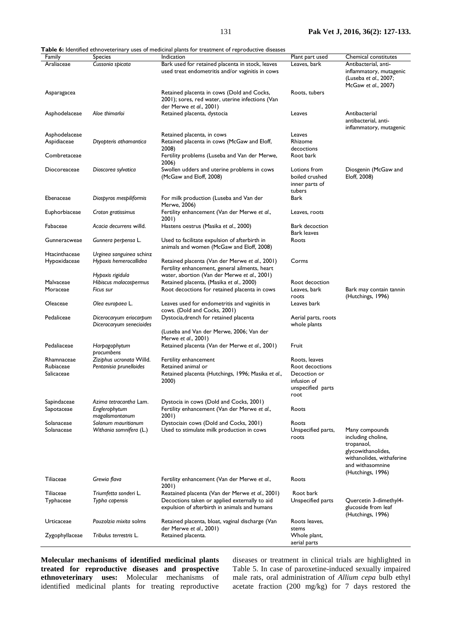**Table 6:** Identified ethnoveterinary uses of medicinal plants for treatment of reproductive diseases

| Family                        | <b>Species</b>                                          | Indication                                                                                                                                        | Plant part used                          | Chemical constitutes                                                                                                      |
|-------------------------------|---------------------------------------------------------|---------------------------------------------------------------------------------------------------------------------------------------------------|------------------------------------------|---------------------------------------------------------------------------------------------------------------------------|
| Araliaceae                    | Cussonia spicata                                        | Bark used for retained placenta in stock, leaves<br>used treat endometritis and/or vaginitis in cows                                              | Leaves, bark                             | Antibacterial, anti-<br>inflammatory, mutagenic<br>(Luseba et al., 2007;<br>McGaw et al., 2007)                           |
| Asparagacea                   |                                                         | Retained placenta in cows (Dold and Cocks,<br>2001); sores, red water, uterine infections (Van<br>der Merwe et al., 2001)                         | Roots, tubers                            |                                                                                                                           |
| Asphodelaceae                 | Aloe thimarloi                                          | Retained placenta, dystocia                                                                                                                       | Leaves                                   | Antibacterial<br>antibacterial, anti-<br>inflammatory, mutagenic                                                          |
| Asphodelaceae                 |                                                         | Retained placenta, in cows                                                                                                                        | Leaves                                   |                                                                                                                           |
| Aspidiaceae                   | Dtyopteris athamantica                                  | Retained placenta in cows (McGaw and Eloff,                                                                                                       | Rhizome                                  |                                                                                                                           |
| Combretaceae                  |                                                         | 2008)<br>Fertility problems (Luseba and Van der Merwe,                                                                                            | decoctions<br>Root bark                  |                                                                                                                           |
| Diocoreaceae                  | Dioscorea sylvatica                                     | 2006)<br>Swollen udders and uterine problems in cows<br>(McGaw and Eloff, 2008)                                                                   | Lotions from<br>boiled crushed           | Diosgenin (McGaw and<br>Eloff, 2008)                                                                                      |
|                               |                                                         |                                                                                                                                                   | inner parts of<br>tubers                 |                                                                                                                           |
| Ebenaceae                     | Diospyros mespiliformis                                 | For milk production (Luseba and Van der<br>Merwe, 2006)                                                                                           | Bark                                     |                                                                                                                           |
| Euphorbiaceae                 | Croton gratissimus                                      | Fertility enhancement (Van der Merwe et al.,<br>2001)                                                                                             | Leaves, roots                            |                                                                                                                           |
| Fabaceae                      | Acacia decurrens willd.                                 | Hastens oestrus (Masika et al., 2000)                                                                                                             | Bark decoction<br><b>Bark leaves</b>     |                                                                                                                           |
| Gunneracweae                  | Gunnera perpensa L.                                     | Used to facilitate expulsion of afterbirth in<br>animals and women (McGaw and Eloff, 2008)                                                        | Roots                                    |                                                                                                                           |
| Htacinthaceae<br>Hypoxidaceae | Urginea sanguinea schinz<br>Hypoxis hemerocallidea      | Retained placenta (Van der Merwe et al., 2001)<br>Fertility enhancement, general ailments, heart                                                  | Corms                                    |                                                                                                                           |
|                               | Hypoxis rigidula                                        | water, abortion (Van der Merwe et al., 2001)                                                                                                      |                                          |                                                                                                                           |
| Malvaceae<br>Moraceae         | Hibiscus malacospermus<br>Ficus sur                     | Retained placenta, (Masika et al., 2000)<br>Root decoctions for retained placenta in cows                                                         | Root decoction<br>Leaves, bark<br>roots  | Bark may contain tannin<br>(Hutchings, 1996)                                                                              |
| Oleaceae                      | Olea europaea L.                                        | Leaves used for endometritis and vaginitis in<br>cows. (Dold and Cocks, 2001)                                                                     | Leaves bark                              |                                                                                                                           |
| Pedaliceae                    | Dicerocaryum eriocarpum<br>Dicerocaryum senecioides     | Dystocia, drench for retained placenta                                                                                                            | Aerial parts, roots<br>whole plants      |                                                                                                                           |
|                               |                                                         | (Luseba and Van der Merwe, 2006; Van der<br>Merwe et al., 2001)                                                                                   |                                          |                                                                                                                           |
| Pedaliaceae<br>Rhamnaceae     | Harpagophytum<br>procumbens<br>Ziziphus ucronata Willd. | Retained placenta (Van der Merwe et al., 2001)<br>Fertility enhancement                                                                           | Fruit<br>Roots, leaves                   |                                                                                                                           |
| Rubiaceae<br>Salicaceae       | Pentanisia prunelloides                                 | Retained animal or<br>Retained placenta (Hutchings, 1996; Masika et al.,                                                                          | Root decoctions<br>Decoction or          |                                                                                                                           |
|                               |                                                         | 2000)                                                                                                                                             | infusion of<br>unspecified parts<br>root |                                                                                                                           |
| Sapindaceae                   | Azima tetracantha Lam.                                  | Dystocia in cows (Dold and Cocks, 2001)                                                                                                           |                                          |                                                                                                                           |
| Sapotaceae                    | Englerophytum<br>magalismontanum                        | Fertility enhancement (Van der Merwe et al.,<br>2001)                                                                                             | Roots                                    |                                                                                                                           |
| Solanaceae<br>Solanaceae      | Solanum mauritianum<br>Withania somnifera (L.)          | Dystociain cows (Dold and Cocks, 2001)<br>Used to stimulate milk production in cows                                                               | Roots<br>Unspecified parts,<br>roots     | Many compounds<br>including choline,<br>tropanaol,<br>glycowithanolides,<br>withanolides, withaferine<br>and withasomnine |
|                               |                                                         |                                                                                                                                                   |                                          | (Hutchings, 1996)                                                                                                         |
| Tiliaceae                     | Grewia flava                                            | Fertility enhancement (Van der Merwe et al.,<br>2001)                                                                                             | Roots                                    |                                                                                                                           |
| Tiliaceae<br>Typhaceae        | Triumfetta sonderi L.<br>Typha capensis                 | Reatained placenta (Van der Merwe et al., 2001)<br>Decoctions taken or applied externally to aid<br>expulsion of afterbirth in animals and humans | Root bark<br>Unspecified parts           | Quercetin 3-dimethyl4-<br>glucoside from leaf<br>(Hutchings, 1996)                                                        |
| Urticaceae                    | Pouzolzia mixita solms                                  | Retained placenta, bloat, vaginal discharge (Van                                                                                                  | Roots leaves,                            |                                                                                                                           |
| Zygophyllaceae                | Tribulus terrestris L.                                  | der Merwe et al., 2001)<br>Retained placenta.                                                                                                     | stems<br>Whole plant,<br>aerial parts    |                                                                                                                           |

**Molecular mechanisms of identified medicinal plants treated for reproductive diseases and prospective ethnoveterinary uses:** Molecular mechanisms of identified medicinal plants for treating reproductive diseases or treatment in clinical trials are highlighted in Table 5. In case of paroxetine-induced sexually impaired male rats, oral administration of *Allium cepa* bulb ethyl acetate fraction (200 mg/kg) for 7 days restored the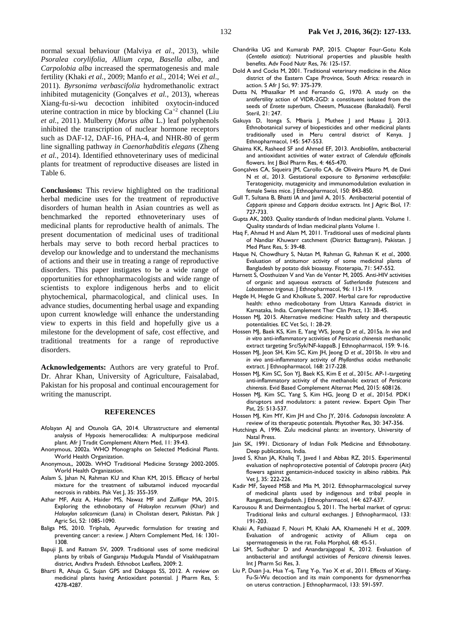normal sexual behaviour [\(Malviya](#page-6-24) *et al*., 2013), while *Psoralea corylifolia, Allium cepa, Basella alba,* and *Carpolobia alba* increased the spermatogenesis and male fertility (Khaki *et al.*[, 2009;](#page-5-24) [Manfo](#page-6-27) *et al.*, 2014; [Wei](#page-6-25) *et al*., [2011\)](#page-6-25). *Byrsonima verbascifolia* hydromethanolic extract inhibited mutagenicity [\(Gonçalves](#page-5-25) *et al.*, 2013), whereas Xiang-fu-si-wu decoction inhibited oxytocin-induced uterine contraction in mice by blocking  $Ca^{+2}$  channel [\(Liu](#page-5-23) *et al.*[, 2011\)](#page-5-23). Mulberry (*Morus alba* L.) leaf polyphenols inhibited the transcription of nuclear hormone receptors such as DAF-12, DAF-16, PHA-4, and NHR-80 of germ line signalling pathway *in Caenorhabditis elegans* [\(Zheng](#page-6-26) *et al.*[, 2014\)](#page-6-26). Identified ethnoveterinary uses of medicinal plants for treatment of reproductive diseases are listed in Table 6.

**Conclusions:** This review highlighted on the traditional herbal medicine uses for the treatment of reproductive disorders of human health in Asian countries as well as benchmarked the reported ethnoveterinary uses of medicinal plants for reproductive health of animals. The present documentation of medicinal uses of traditional herbals may serve to both record herbal practices to develop our knowledge and to understand the mechanisms of actions and their use in treating a range of reproductive disorders. This paper instigates to be a wide range of opportunities for ethnopharmacologists and wide range of scientists to explore indigenous herbs and to elicit phytochemical, pharmacological, and clinical uses. In advance studies, documenting herbal usage and expanding upon current knowledge will enhance the understanding view to experts in this field and hopefully give us a milestone for the development of safe, cost effective, and traditional treatments for a range of reproductive disorders.

**Acknowledgements:** Authors are very grateful to Prof. Dr. Ahrar Khan, University of Agriculture, Faisalabad, Pakistan for his proposal and continual encouragement for writing the manuscript.

### **REFERENCES**

- <span id="page-5-11"></span>Afolayan AJ and Otunola GA, 2014. Ultrastructure and elemental analysis of Hypoxis hemerocallidea: A multipurpose medicinal plant. Afr J Tradit Complement Altern Med, 11: 39-43.
- <span id="page-5-4"></span>Anonymous, 2002a. WHO Monographs on Selected Medicinal Plants. World Health Organization.
- Anonymous,, 2002b. WHO Traditional Medicine Strategy 2002-2005. World Health Organization.
- Aslam S, Jahan N, Rahman KU and Khan KM, 2015. Efficacy of herbal mixture for the treatment of salbutamol induced myocardial necrosis in rabbits. Pak Vet J, 35: 355-359.
- [Azhar MF,](http://apps.webofknowledge.com/OneClickSearch.do?product=WOS&search_mode=OneClickSearch&excludeEventConfig=ExcludeIfFromFullRecPage&colName=WOS&SID=U2WY36lJIrcIFHj6Tt3&field=AU&value=Azhar,%20MF) [Aziz A,](http://apps.webofknowledge.com/OneClickSearch.do?product=WOS&search_mode=OneClickSearch&excludeEventConfig=ExcludeIfFromFullRecPage&colName=WOS&SID=U2WY36lJIrcIFHj6Tt3&field=AU&value=Aziz,%20A) [Haider MS,](http://apps.webofknowledge.com/OneClickSearch.do?product=WOS&search_mode=OneClickSearch&excludeEventConfig=ExcludeIfFromFullRecPage&colName=WOS&SID=U2WY36lJIrcIFHj6Tt3&field=AU&value=Haider,%20MS) [Nawaz MF](http://apps.webofknowledge.com/OneClickSearch.do?product=WOS&search_mode=OneClickSearch&excludeEventConfig=ExcludeIfFromFullRecPage&colName=WOS&SID=U2WY36lJIrcIFHj6Tt3&field=AU&value=Nawaz,%20MF) and [Zulfiqar MA,](http://apps.webofknowledge.com/OneClickSearch.do?product=WOS&search_mode=OneClickSearch&excludeEventConfig=ExcludeIfFromFullRecPage&colName=WOS&SID=U2WY36lJIrcIFHj6Tt3&field=AU&value=Zulfiqar,%20MA) 2015. Exploring the ethnobotany of *Haloxylon recurvum* (Khar) and *Haloxylon salicornicum* (Lana) in Cholistan desert, Pakistan. Pak J Agric Sci, 52: 1085-1090.
- Baliga MS, 2010. Triphala, Ayurvedic formulation for treating and preventing cancer: a review. J Altern Complement Med, 16: 1301- 1308.
- <span id="page-5-18"></span>Bapuji JL and Ratnam SV, 2009. Traditional uses of some medicinal plants by tribals of Gangaraju Madugula Mandal of Visakhapatnam district, Andhra Pradesh. Ethnobot Leaflets, 2009: 2.
- <span id="page-5-19"></span>Bharti R, Ahuja G, Sujan GPS and Dakappa SS, 2012. A review on medicinal plants having Antioxidant potential. J Pharm Res, 5: 4278-4287.
- <span id="page-5-8"></span>Chandrika UG and Kumarab PAP, 2015. Chapter Four-Gotu Kola (*Centella asiatica*): Nutritional properties and plausible health benefits. Adv Food Nutr Res, 76: 125-157.
- <span id="page-5-26"></span>Dold A and Cocks M, 2001. Traditional veterinary medicine in the Alice district of the Eastern Cape Province, South Africa: research in action. S Afr J Sci, 97: 375-379.
- <span id="page-5-21"></span>Dutta N, Mhasalkar M and Fernando G, 1970. A study on the antifertility action of VIDR-2GD: a constituent isolated from the seeds of *Ensete superbum*, Cheesm, Musaceae (Banakadali). Fertil Steril, 21: 247.
- <span id="page-5-14"></span>Gakuya D, Itonga S, Mbaria J, Muthee J and Musau J, 2013. Ethnobotanical survey of biopesticides and other medicinal plants traditionally used in Meru central district of Kenya. J Ethnopharmacol, 145: 547-553.
- <span id="page-5-13"></span>Ghaima KK, Rasheed SF and Ahmed EF, 2013. Antibiofilm, antibacterial and antioxidant activities of water extract of *Calendula officinalis* flowers. Int | Biol Pharm Res, 4: 465-470.
- <span id="page-5-25"></span>Gonçalves CA, Siqueira JM, Carollo CA, de Oliveira Mauro M, de Davi N *et al.*, 2013. Gestational exposure to *Byrsonima verbascifolia*: Teratogenicity, mutagenicity and immunomodulation evaluation in female Swiss mice. | Ethnopharmacol, 150: 843-850.
- <span id="page-5-22"></span>[Gull T,](http://apps.webofknowledge.com/OneClickSearch.do?product=WOS&search_mode=OneClickSearch&excludeEventConfig=ExcludeIfFromFullRecPage&colName=WOS&SID=U2WY36lJIrcIFHj6Tt3&field=AU&value=Gull,%20T) [Sultana B,](http://apps.webofknowledge.com/OneClickSearch.do?product=WOS&search_mode=OneClickSearch&excludeEventConfig=ExcludeIfFromFullRecPage&colName=WOS&SID=U2WY36lJIrcIFHj6Tt3&field=AU&value=Sultana,%20B) [Bhatti IA](http://apps.webofknowledge.com/OneClickSearch.do?product=WOS&search_mode=OneClickSearch&excludeEventConfig=ExcludeIfFromFullRecPage&colName=WOS&SID=U2WY36lJIrcIFHj6Tt3&field=AU&value=Bhatti,%20IA) and [Jamil A,](http://apps.webofknowledge.com/OneClickSearch.do?product=WOS&search_mode=OneClickSearch&excludeEventConfig=ExcludeIfFromFullRecPage&colName=WOS&SID=U2WY36lJIrcIFHj6Tt3&field=AU&value=Jamil,%20A) 2015. Antibacterial potential of *Capparis spinosa* and *Capparis decidua* extracts. Int J Agric Biol, 17: 727-733.
- Gupta AK, 2003. Quality standards of Indian medicinal plants. Volume 1. Quality standards of Indian medicinal plants Volume 1.
- <span id="page-5-16"></span>Haq F, Ahmad H and Alam M, 2011. Traditional uses of medicinal plants of Nandiar Khuwarr catchment (District Battagram), Pakistan. J Med Plant Res, 5: 39-48.
- <span id="page-5-17"></span>Haque N, Chowdhury S, Nutan M, Rahman G, Rahman K *et al.*, 2000. Evaluation of antitumor activity of some medicinal plants of Bangladesh by potato disk bioassay. Fitoterapia, 71: 547-552.
- <span id="page-5-12"></span>Harnett S, Oosthuizen V and Van de Venter M, 2005. Anti-HIV activities of organic and aqueous extracts of *Sutherlandia frutescens* and *Lobostemon trigonus*. J Ethnopharmacol, 96: 113-119.
- <span id="page-5-9"></span>Hegde H, Hegde G and Kholkute S, 2007. Herbal care for reproductive health: ethno medicobotany from Uttara Kannada district in Karnataka, India. Complement Ther Clin Pract, 13: 38-45.
- <span id="page-5-6"></span>Hossen MJ, 2015. Alternative medicine: Health safety and therapeutic potentialities. EC Vet Sci, 1: 28-29.
- <span id="page-5-0"></span>Hossen MJ, Baek KS, Kim E, Yang WS, Jeong D *et al.*, 2015a. *In vivo* and *in vitro* anti-inflammatory activities of *Persicaria chinensis* methanolic extract targeting Src/Syk/NF-kappaB. J Ethnopharmacol, 159: 9-16.
- <span id="page-5-1"></span>Hossen MJ, Jeon SH, Kim SC, Kim JH, Jeong D *et al.*, 2015b. *In vitro* and *in vivo* anti-inflammatory activity of *Phyllanthus acidus* methanolic extract. J Ethnopharmacol, 168: 217-228.
- <span id="page-5-5"></span>Hossen MJ, Kim SC, Son YJ, Baek KS, Kim E *et al.*, 2015c. AP-1-targeting anti-inflammatory activity of the methanolic extract of *Persicaria chinensis*. Evid Based Complement Alternat Med, 2015: 608126.
- <span id="page-5-7"></span>Hossen MJ, Kim SC, Yang S, Kim HG, Jeong D *et al.*, 2015d. PDK1 disruptors and modulators: a patent review. Expert Opin Ther Pat, 25: 513-537.
- <span id="page-5-3"></span>Hossen MJ, Kim MY, Kim JH and Cho JY, 2016. *Codonopsis lanceolata*: A review of its therapeutic potentials. Phytother Res, 30: 347-356.
- Hutchings A, 1996. Zulu medicinal plants: an inventory, University of Natal Press.
- <span id="page-5-20"></span>Jain SK, 1991. Dictionary of Indian Folk Medicine and Ethnobotany. Deep publications, India.
- <span id="page-5-10"></span>Javed S, Khan JA, Khaliq T, Javed I and Abbas RZ, 2015. Experimental evaluation of nephroprotective potential of *Calotropis procera* (Ait) flowers against gentamicin-induced toxicity in albino rabbits. Pak Vet J, 35: 222-226.
- Kadir MF, Sayeed MSB and Mia M, 2012. Ethnopharmacological survey of medicinal plants used by indigenous and tribal people in Rangamati, Bangladesh. J Ethnopharmacol, 144: 627-637.
- <span id="page-5-15"></span>Karousou R and Deirmentzoglou S, 2011. The herbal market of cyprus: Traditional links and cultural exchanges. J Ethnopharmacol, 133: 191-203.
- <span id="page-5-24"></span>Khaki A, Fathiazad F, Nouri M, Khaki AA, Khamenehi H *et al.*, 2009. Evaluation of androgenic activity of Allium cepa on spermatogenesis in the rat. Folia Morphol, 68: 45-51.
- <span id="page-5-2"></span>Lai SM, Sudhahar D and Anandarajagopal K, 2012. Evaluation of antibacterial and antifungal activities of *Persicara chinensis* leaves. Int J Pharm Sci Res, 3.
- <span id="page-5-23"></span>Liu P, Duan J-a, Hua Y-q, Tang Y-p, Yao X *et al.*, 2011. Effects of Xiang-Fu-Si-Wu decoction and its main components for dysmenorrhea on uterus contraction. J Ethnopharmacol, 133: 591-597.